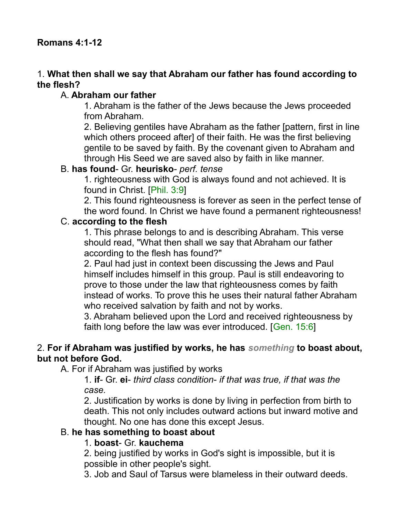### 1. **What then shall we say that Abraham our father has found according to the flesh?**

### A. **Abraham our father**

1. Abraham is the father of the Jews because the Jews proceeded from Abraham.

2. Believing gentiles have Abraham as the father [pattern, first in line which others proceed after] of their faith. He was the first believing gentile to be saved by faith. By the covenant given to Abraham and through His Seed we are saved also by faith in like manner.

#### B. **has found**- Gr. **heurisko**- *perf. tense*

1. righteousness with God is always found and not achieved. It is found in Christ. [Phil. 3:9]

2. This found righteousness is forever as seen in the perfect tense of the word found. In Christ we have found a permanent righteousness!

#### C. **according to the flesh**

1. This phrase belongs to and is describing Abraham. This verse should read, "What then shall we say that Abraham our father according to the flesh has found?"

2. Paul had just in context been discussing the Jews and Paul himself includes himself in this group. Paul is still endeavoring to prove to those under the law that righteousness comes by faith instead of works. To prove this he uses their natural father Abraham who received salvation by faith and not by works.

3. Abraham believed upon the Lord and received righteousness by faith long before the law was ever introduced. [Gen. 15:6]

#### 2. **For if Abraham was justified by works, he has** *something* **to boast about, but not before God.**

A. For if Abraham was justified by works

1. **if**- Gr. **ei**- *third class condition*- *if that was true, if that was the case.*

2. Justification by works is done by living in perfection from birth to death. This not only includes outward actions but inward motive and thought. No one has done this except Jesus.

#### B. **he has something to boast about**

#### 1. **boast**- Gr. **kauchema**

2. being justified by works in God's sight is impossible, but it is possible in other people's sight.

3. Job and Saul of Tarsus were blameless in their outward deeds.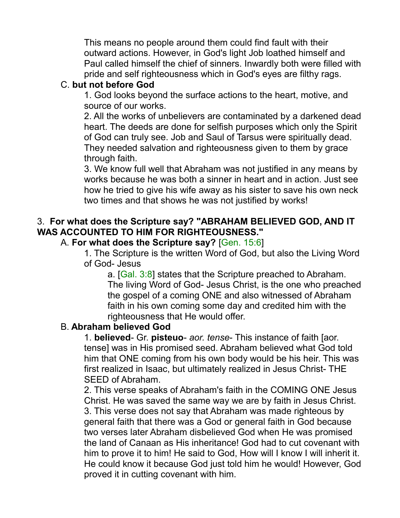This means no people around them could find fault with their outward actions. However, in God's light Job loathed himself and Paul called himself the chief of sinners. Inwardly both were filled with pride and self righteousness which in God's eyes are filthy rags.

### C. **but not before God**

1. God looks beyond the surface actions to the heart, motive, and source of our works.

2. All the works of unbelievers are contaminated by a darkened dead heart. The deeds are done for selfish purposes which only the Spirit of God can truly see. Job and Saul of Tarsus were spiritually dead. They needed salvation and righteousness given to them by grace through faith.

3. We know full well that Abraham was not justified in any means by works because he was both a sinner in heart and in action. Just see how he tried to give his wife away as his sister to save his own neck two times and that shows he was not justified by works!

### 3. **For what does the Scripture say? "ABRAHAM BELIEVED GOD, AND IT WAS ACCOUNTED TO HIM FOR RIGHTEOUSNESS."**

### A. **For what does the Scripture say?** [Gen. 15:6]

1. The Scripture is the written Word of God, but also the Living Word of God- Jesus

a. [Gal. 3:8] states that the Scripture preached to Abraham. The living Word of God- Jesus Christ, is the one who preached the gospel of a coming ONE and also witnessed of Abraham faith in his own coming some day and credited him with the righteousness that He would offer.

### B. **Abraham believed God**

1. **believed**- Gr. **pisteuo**- *aor. tense*- This instance of faith [aor. tense] was in His promised seed. Abraham believed what God told him that ONE coming from his own body would be his heir. This was first realized in Isaac, but ultimately realized in Jesus Christ- THE SEED of Abraham.

2. This verse speaks of Abraham's faith in the COMING ONE Jesus Christ. He was saved the same way we are by faith in Jesus Christ. 3. This verse does not say that Abraham was made righteous by general faith that there was a God or general faith in God because two verses later Abraham disbelieved God when He was promised the land of Canaan as His inheritance! God had to cut covenant with him to prove it to him! He said to God, How will I know I will inherit it. He could know it because God just told him he would! However, God proved it in cutting covenant with him.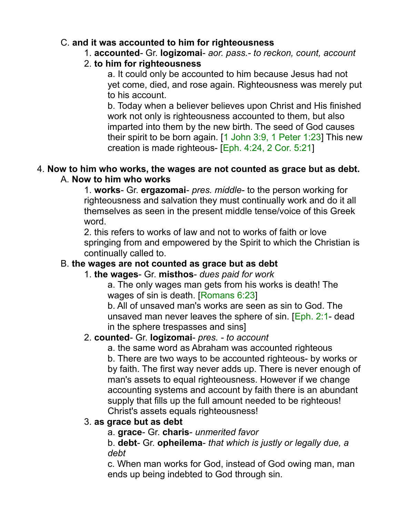### C. **and it was accounted to him for righteousness**

1. **accounted**- Gr. **logizomai**- *aor. pass.- to reckon, count, account*

# 2. **to him for righteousness**

a. It could only be accounted to him because Jesus had not yet come, died, and rose again. Righteousness was merely put to his account.

b. Today when a believer believes upon Christ and His finished work not only is righteousness accounted to them, but also imparted into them by the new birth. The seed of God causes their spirit to be born again. [1 John 3:9, 1 Peter 1:23] This new creation is made righteous- [Eph. 4:24, 2 Cor. 5:21]

### 4. **Now to him who works, the wages are not counted as grace but as debt.** A. **Now to him who works**

1. **works**- Gr. **ergazomai**- *pres. middle*- to the person working for righteousness and salvation they must continually work and do it all themselves as seen in the present middle tense/voice of this Greek word.

2. this refers to works of law and not to works of faith or love springing from and empowered by the Spirit to which the Christian is continually called to.

# B. **the wages are not counted as grace but as debt**

### 1. **the wages**- Gr. **misthos**- *dues paid for work*

a. The only wages man gets from his works is death! The wages of sin is death. [Romans 6:23]

b. All of unsaved man's works are seen as sin to God. The unsaved man never leaves the sphere of sin. [Eph. 2:1- dead in the sphere trespasses and sins]

### 2. **counted**- Gr. **logizomai**- *pres. - to account*

a. the same word as Abraham was accounted righteous b. There are two ways to be accounted righteous- by works or by faith. The first way never adds up. There is never enough of man's assets to equal righteousness. However if we change accounting systems and account by faith there is an abundant supply that fills up the full amount needed to be righteous! Christ's assets equals righteousness!

### 3. **as grace but as debt**

a. **grace**- Gr. **charis**- *unmerited favor*

b. **debt**- Gr. **opheilema**- *that which is justly or legally due, a debt*

c. When man works for God, instead of God owing man, man ends up being indebted to God through sin.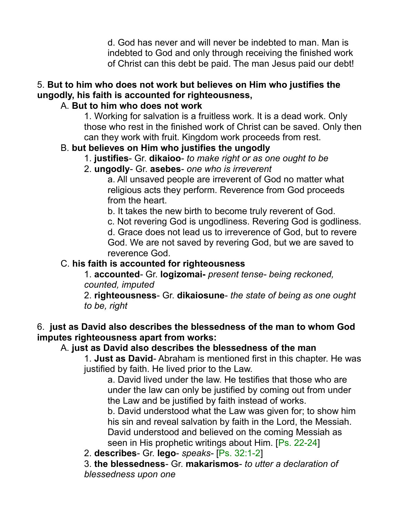d. God has never and will never be indebted to man. Man is indebted to God and only through receiving the finished work of Christ can this debt be paid. The man Jesus paid our debt!

# 5. **But to him who does not work but believes on Him who justifies the ungodly, his faith is accounted for righteousness,**

# A. **But to him who does not work**

1. Working for salvation is a fruitless work. It is a dead work. Only those who rest in the finished work of Christ can be saved. Only then can they work with fruit. Kingdom work proceeds from rest.

# B. **but believes on Him who justifies the ungodly**

- 1. **justifies** Gr. **dikaioo** *to make right or as one ought to be*
- 2. **ungodly** Gr. **asebes** *one who is irreverent*

a. All unsaved people are irreverent of God no matter what religious acts they perform. Reverence from God proceeds from the heart.

b. It takes the new birth to become truly reverent of God.

c. Not revering God is ungodliness. Revering God is godliness.

d. Grace does not lead us to irreverence of God, but to revere God. We are not saved by revering God, but we are saved to reverence God.

# C. **his faith is accounted for righteousness**

1. **accounted**- Gr. **logizomai-** *present tense- being reckoned, counted, imputed*

2. **righteousness**- Gr. **dikaiosune**- *the state of being as one ought to be, right*

# 6. **just as David also describes the blessedness of the man to whom God imputes righteousness apart from works:**

# A. **just as David also describes the blessedness of the man**

1. **Just as David**- Abraham is mentioned first in this chapter. He was justified by faith. He lived prior to the Law.

a. David lived under the law. He testifies that those who are under the law can only be justified by coming out from under the Law and be justified by faith instead of works.

b. David understood what the Law was given for; to show him his sin and reveal salvation by faith in the Lord, the Messiah. David understood and believed on the coming Messiah as seen in His prophetic writings about Him. [Ps. 22-24]

2. **describes**- Gr. **lego**- *speaks-* [Ps. 32:1-2]

3. **the blessedness**- Gr. **makarismos**- *to utter a declaration of blessedness upon one*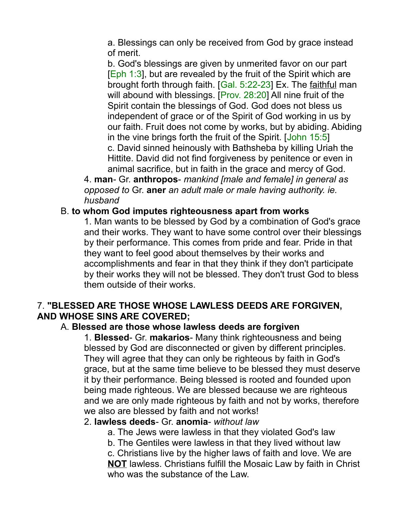a. Blessings can only be received from God by grace instead of merit.

b. God's blessings are given by unmerited favor on our part  $[Eph 1:3]$ , but are revealed by the fruit of the Spirit which are brought forth through faith. [Gal. 5:22-23] Ex. The faithful man will abound with blessings. [Prov. 28:20] All nine fruit of the Spirit contain the blessings of God. God does not bless us independent of grace or of the Spirit of God working in us by our faith. Fruit does not come by works, but by abiding. Abiding in the vine brings forth the fruit of the Spirit. [John 15:5] c. David sinned heinously with Bathsheba by killing Uriah the Hittite. David did not find forgiveness by penitence or even in animal sacrifice, but in faith in the grace and mercy of God.

4. **man**- Gr. **anthropos**- *mankind [male and female] in general as opposed to* Gr. **aner** *an adult male or male having authority. ie. husband*

#### B. **to whom God imputes righteousness apart from works**

1. Man wants to be blessed by God by a combination of God's grace and their works. They want to have some control over their blessings by their performance. This comes from pride and fear. Pride in that they want to feel good about themselves by their works and accomplishments and fear in that they think if they don't participate by their works they will not be blessed. They don't trust God to bless them outside of their works.

#### 7. **"BLESSED ARE THOSE WHOSE LAWLESS DEEDS ARE FORGIVEN, AND WHOSE SINS ARE COVERED;**

#### A. **Blessed are those whose lawless deeds are forgiven**

1. **Blessed**- Gr. **makarios**- Many think righteousness and being blessed by God are disconnected or given by different principles. They will agree that they can only be righteous by faith in God's grace, but at the same time believe to be blessed they must deserve it by their performance. Being blessed is rooted and founded upon being made righteous. We are blessed because we are righteous and we are only made righteous by faith and not by works, therefore we also are blessed by faith and not works!

#### 2. **lawless deeds**- Gr. **anomia**- *without law*

a. The Jews were lawless in that they violated God's law

b. The Gentiles were lawless in that they lived without law

c. Christians live by the higher laws of faith and love. We are **NOT** lawless. Christians fulfill the Mosaic Law by faith in Christ who was the substance of the Law.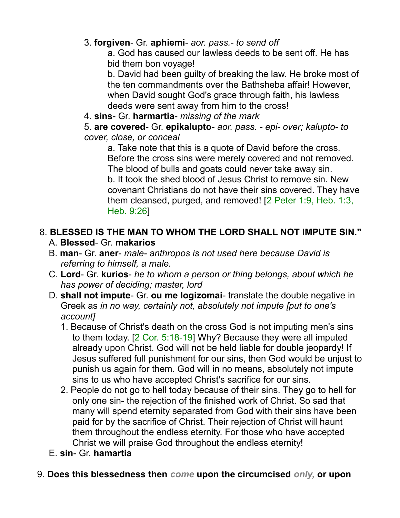# 3. **forgiven**- Gr. **aphiemi**- *aor. pass.- to send off*

a. God has caused our lawless deeds to be sent off. He has bid them bon voyage!

b. David had been guilty of breaking the law. He broke most of the ten commandments over the Bathsheba affair! However, when David sought God's grace through faith, his lawless deeds were sent away from him to the cross!

4. **sins**- Gr. **harmartia**- *missing of the mark*

5. **are covered**- Gr. **epikalupto**- *aor. pass. - epi- over; kalupto- to cover, close, or conceal*

a. Take note that this is a quote of David before the cross. Before the cross sins were merely covered and not removed. The blood of bulls and goats could never take away sin. b. It took the shed blood of Jesus Christ to remove sin. New covenant Christians do not have their sins covered. They have them cleansed, purged, and removed! [2 Peter 1:9, Heb. 1:3, Heb. 9:26]

# 8. **BLESSED IS THE MAN TO WHOM THE LORD SHALL NOT IMPUTE SIN."** A. **Blessed**- Gr. **makarios**

- B. **man** Gr. **aner** *male- anthropos is not used here because David is referring to himself, a male.*
- C. **Lord** Gr. **kurios** *he to whom a person or thing belongs, about which he has power of deciding; master, lord*
- D. **shall not impute** Gr. **ou me logizomai** translate the double negative in Greek as *in no way, certainly not, absolutely not impute [put to one's account]*
	- 1. Because of Christ's death on the cross God is not imputing men's sins to them today. [2 Cor. 5:18-19] Why? Because they were all imputed already upon Christ. God will not be held liable for double jeopardy! If Jesus suffered full punishment for our sins, then God would be unjust to punish us again for them. God will in no means, absolutely not impute sins to us who have accepted Christ's sacrifice for our sins.
	- 2. People do not go to hell today because of their sins. They go to hell for only one sin- the rejection of the finished work of Christ. So sad that many will spend eternity separated from God with their sins have been paid for by the sacrifice of Christ. Their rejection of Christ will haunt them throughout the endless eternity. For those who have accepted Christ we will praise God throughout the endless eternity!
- E. **sin** Gr. **hamartia**

### 9. **Does this blessedness then** *come* **upon the circumcised** *only,* **or upon**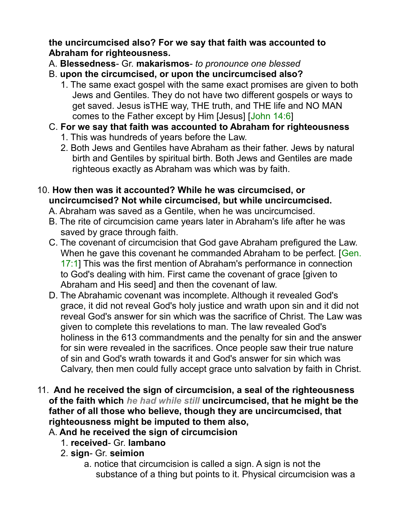**the uncircumcised also? For we say that faith was accounted to Abraham for righteousness.** 

- A. **Blessedness** Gr. **makarismos** *to pronounce one blessed*
- B. **upon the circumcised, or upon the uncircumcised also?**
	- 1. The same exact gospel with the same exact promises are given to both Jews and Gentiles. They do not have two different gospels or ways to get saved. Jesus isTHE way, THE truth, and THE life and NO MAN comes to the Father except by Him [Jesus] [John 14:6]
- C. **For we say that faith was accounted to Abraham for righteousness**
	- 1. This was hundreds of years before the Law.
	- 2. Both Jews and Gentiles have Abraham as their father. Jews by natural birth and Gentiles by spiritual birth. Both Jews and Gentiles are made righteous exactly as Abraham was which was by faith.
- 10. **How then was it accounted? While he was circumcised, or uncircumcised? Not while circumcised, but while uncircumcised.** 
	- A. Abraham was saved as a Gentile, when he was uncircumcised.
	- B. The rite of circumcision came years later in Abraham's life after he was saved by grace through faith.
	- C. The covenant of circumcision that God gave Abraham prefigured the Law. When he gave this covenant he commanded Abraham to be perfect. [Gen.] 17:1] This was the first mention of Abraham's performance in connection to God's dealing with him. First came the covenant of grace [given to Abraham and His seed] and then the covenant of law.
	- D. The Abrahamic covenant was incomplete. Although it revealed God's grace, it did not reveal God's holy justice and wrath upon sin and it did not reveal God's answer for sin which was the sacrifice of Christ. The Law was given to complete this revelations to man. The law revealed God's holiness in the 613 commandments and the penalty for sin and the answer for sin were revealed in the sacrifices. Once people saw their true nature of sin and God's wrath towards it and God's answer for sin which was Calvary, then men could fully accept grace unto salvation by faith in Christ.
- 11. **And he received the sign of circumcision, a seal of the righteousness of the faith which** *he had while still* **uncircumcised, that he might be the father of all those who believe, though they are uncircumcised, that righteousness might be imputed to them also,** 
	- A. **And he received the sign of circumcision**
		- 1. **received** Gr. **lambano**
		- 2. **sign** Gr. **seimion**
			- a. notice that circumcision is called a sign. A sign is not the substance of a thing but points to it. Physical circumcision was a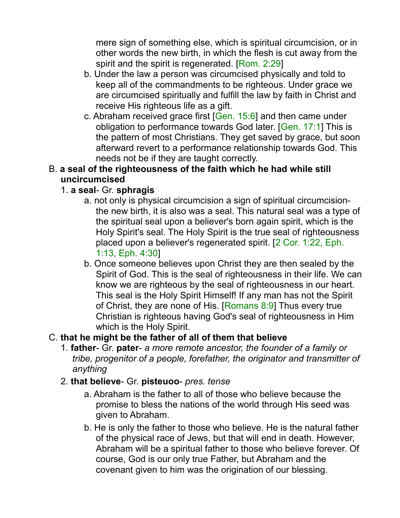mere sign of something else, which is spiritual circumcision, or in other words the new birth, in which the flesh is cut away from the spirit and the spirit is regenerated. [Rom. 2:29]

- b. Under the law a person was circumcised physically and told to keep all of the commandments to be righteous. Under grace we are circumcised spiritually and fulfill the law by faith in Christ and receive His righteous life as a gift.
- c. Abraham received grace first [Gen. 15:6] and then came under obligation to performance towards God later. [Gen. 17:1] This is the pattern of most Christians. They get saved by grace, but soon afterward revert to a performance relationship towards God. This needs not be if they are taught correctly.

### B. **a seal of the righteousness of the faith which he had while still uncircumcised**

# 1. **a seal**- Gr. **sphragis**

- a. not only is physical circumcision a sign of spiritual circumcisionthe new birth, it is also was a seal. This natural seal was a type of the spiritual seal upon a believer's born again spirit, which is the Holy Spirit's seal. The Holy Spirit is the true seal of righteousness placed upon a believer's regenerated spirit. [2 Cor. 1:22, Eph. 1:13, Eph. 4:30]
- b. Once someone believes upon Christ they are then sealed by the Spirit of God. This is the seal of righteousness in their life. We can know we are righteous by the seal of righteousness in our heart. This seal is the Holy Spirit Himself! If any man has not the Spirit of Christ, they are none of His. [Romans 8:9] Thus every true Christian is righteous having God's seal of righteousness in Him which is the Holy Spirit.

### C. **that he might be the father of all of them that believe**

- 1. **father** Gr. **pater** *a more remote ancestor, the founder of a family or tribe, progenitor of a people, forefather, the originator and transmitter of anything*
- 2. **that believe** Gr. **pisteuoo** *pres. tense*
	- a. Abraham is the father to all of those who believe because the promise to bless the nations of the world through His seed was given to Abraham.
	- b. He is only the father to those who believe. He is the natural father of the physical race of Jews, but that will end in death. However, Abraham will be a spiritual father to those who believe forever. Of course, God is our only true Father, but Abraham and the covenant given to him was the origination of our blessing.